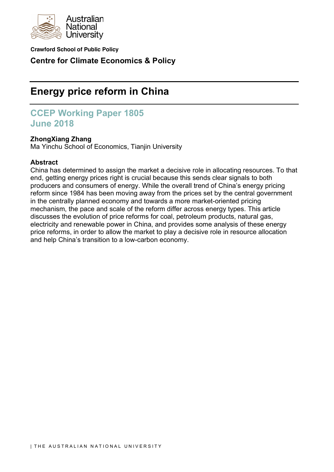

**Crawford School of Public Policy**

## **Centre for Climate Economics & Policy**

# **Energy price reform in China**

## **CCEP Working Paper 1805 June 2018**

## **ZhongXiang Zhang**

Ma Yinchu School of Economics, Tianjin University

## **Abstract**

China has determined to assign the market a decisive role in allocating resources. To that end, getting energy prices right is crucial because this sends clear signals to both producers and consumers of energy. While the overall trend of China's energy pricing reform since 1984 has been moving away from the prices set by the central government in the centrally planned economy and towards a more market-oriented pricing mechanism, the pace and scale of the reform differ across energy types. This article discusses the evolution of price reforms for coal, petroleum products, natural gas, electricity and renewable power in China, and provides some analysis of these energy price reforms, in order to allow the market to play a decisive role in resource allocation and help China's transition to a low-carbon economy.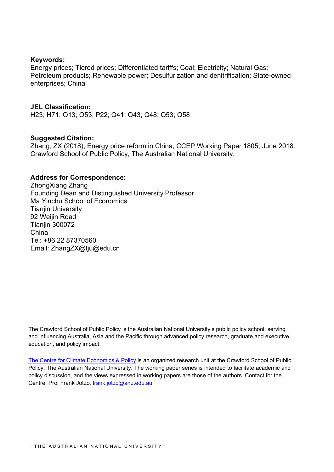#### **Keywords:**

Energy prices; Tiered prices; Differentiated tariffs; Coal; Electricity; Natural Gas; Petroleum products; Renewable power; Desulfurization and denitrification; State-owned enterprises; China

## **JEL Classification:**

H23; H71; O13; O53; P22; Q41; Q43; Q48; Q53; Q58

#### **Suggested Citation:**

Zhang, ZX (2018), Energy price reform in China, CCEP Working Paper 1805, June 2018. Crawford School of Public Policy, The Australian National University.

## **Address for Correspondence:**

ZhongXiang Zhang Founding Dean and Distinguished University Professor Ma Yinchu School of Economics **Tianiin University** 92 Weijin Road Tianjin 300072 China Tel: +86 22 87370560 Email: ZhangZX@tju@edu.cn

The Crawford School of Public Policy is the Australian National University's public policy school, serving and influencing Australia, Asia and the Pacific through advanced policy research, graduate and executive education, and policy impact.

The Centre for Climate Economics & Policy is an organized research unit at the Crawford School of Public Policy, The Australian National University. The working paper series is intended to facilitate academic and policy discussion, and the views expressed in working papers are those of the authors. Contact for the Centre: Prof Frank Jotzo, frank.jotzo@anu.edu.au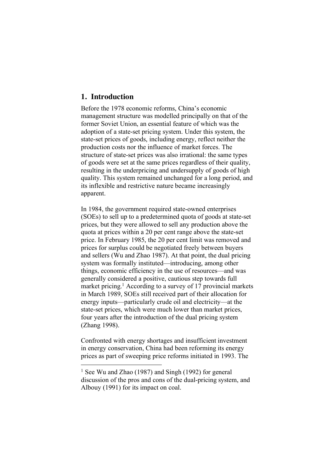## **1. Introduction**

Before the 1978 economic reforms, China's economic management structure was modelled principally on that of the former Soviet Union, an essential feature of which was the adoption of a state-set pricing system. Under this system, the state-set prices of goods, including energy, reflect neither the production costs nor the influence of market forces. The structure of state-set prices was also irrational: the same types of goods were set at the same prices regardless of their quality, resulting in the underpricing and undersupply of goods of high quality. This system remained unchanged for a long period, and its inflexible and restrictive nature became increasingly apparent.

In 1984, the government required state-owned enterprises (SOEs) to sell up to a predetermined quota of goods at state-set prices, but they were allowed to sell any production above the quota at prices within a 20 per cent range above the state-set price. In February 1985, the 20 per cent limit was removed and prices for surplus could be negotiated freely between buyers and sellers (Wu and Zhao 1987). At that point, the dual pricing system was formally instituted—introducing, among other things, economic efficiency in the use of resources—and was generally considered a positive, cautious step towards full market pricing. <sup>1</sup> According to a survey of 17 provincial markets in March 1989, SOEs still received part of their allocation for energy inputs—particularly crude oil and electricity—at the state-set prices, which were much lower than market prices, four years after the introduction of the dual pricing system (Zhang 1998).

Confronted with energy shortages and insufficient investment in energy conservation, China had been reforming its energy prices as part of sweeping price reforms initiated in 1993. The

 <sup>1</sup> See Wu and Zhao (1987) and Singh (1992) for general discussion of the pros and cons of the dual-pricing system, and Albouy (1991) for its impact on coal.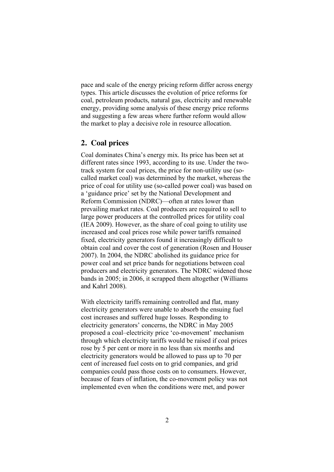pace and scale of the energy pricing reform differ across energy types. This article discusses the evolution of price reforms for coal, petroleum products, natural gas, electricity and renewable energy, providing some analysis of these energy price reforms and suggesting a few areas where further reform would allow the market to play a decisive role in resource allocation.

#### **2. Coal prices**

Coal dominates China's energy mix. Its price has been set at different rates since 1993, according to its use. Under the twotrack system for coal prices, the price for non-utility use (socalled market coal) was determined by the market, whereas the price of coal for utility use (so-called power coal) was based on a 'guidance price' set by the National Development and Reform Commission (NDRC)—often at rates lower than prevailing market rates. Coal producers are required to sell to large power producers at the controlled prices for utility coal (IEA 2009). However, as the share of coal going to utility use increased and coal prices rose while power tariffs remained fixed, electricity generators found it increasingly difficult to obtain coal and cover the cost of generation (Rosen and Houser 2007). In 2004, the NDRC abolished its guidance price for power coal and set price bands for negotiations between coal producers and electricity generators. The NDRC widened those bands in 2005; in 2006, it scrapped them altogether (Williams and Kahrl 2008).

With electricity tariffs remaining controlled and flat, many electricity generators were unable to absorb the ensuing fuel cost increases and suffered huge losses. Responding to electricity generators' concerns, the NDRC in May 2005 proposed a coal–electricity price 'co-movement' mechanism through which electricity tariffs would be raised if coal prices rose by 5 per cent or more in no less than six months and electricity generators would be allowed to pass up to 70 per cent of increased fuel costs on to grid companies, and grid companies could pass those costs on to consumers. However, because of fears of inflation, the co-movement policy was not implemented even when the conditions were met, and power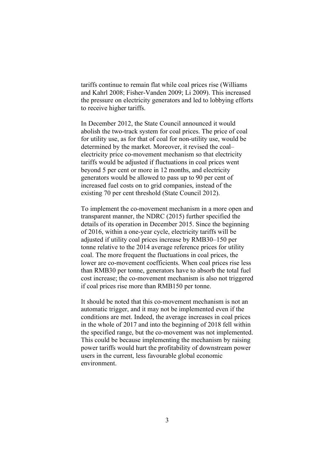tariffs continue to remain flat while coal prices rise (Williams and Kahrl 2008; Fisher-Vanden 2009; Li 2009). This increased the pressure on electricity generators and led to lobbying efforts to receive higher tariffs.

In December 2012, the State Council announced it would abolish the two-track system for coal prices. The price of coal for utility use, as for that of coal for non-utility use, would be determined by the market. Moreover, it revised the coal– electricity price co-movement mechanism so that electricity tariffs would be adjusted if fluctuations in coal prices went beyond 5 per cent or more in 12 months, and electricity generators would be allowed to pass up to 90 per cent of increased fuel costs on to grid companies, instead of the existing 70 per cent threshold (State Council 2012).

To implement the co-movement mechanism in a more open and transparent manner, the NDRC (2015) further specified the details of its operation in December 2015. Since the beginning of 2016, within a one-year cycle, electricity tariffs will be adjusted if utility coal prices increase by RMB30–150 per tonne relative to the 2014 average reference prices for utility coal. The more frequent the fluctuations in coal prices, the lower are co-movement coefficients. When coal prices rise less than RMB30 per tonne, generators have to absorb the total fuel cost increase; the co-movement mechanism is also not triggered if coal prices rise more than RMB150 per tonne.

It should be noted that this co-movement mechanism is not an automatic trigger, and it may not be implemented even if the conditions are met. Indeed, the average increases in coal prices in the whole of 2017 and into the beginning of 2018 fell within the specified range, but the co-movement was not implemented. This could be because implementing the mechanism by raising power tariffs would hurt the profitability of downstream power users in the current, less favourable global economic environment.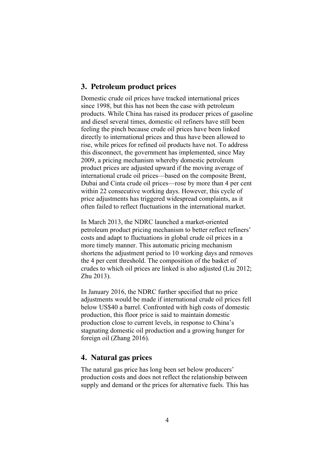#### **3. Petroleum product prices**

Domestic crude oil prices have tracked international prices since 1998, but this has not been the case with petroleum products. While China has raised its producer prices of gasoline and diesel several times, domestic oil refiners have still been feeling the pinch because crude oil prices have been linked directly to international prices and thus have been allowed to rise, while prices for refined oil products have not. To address this disconnect, the government has implemented, since May 2009, a pricing mechanism whereby domestic petroleum product prices are adjusted upward if the moving average of international crude oil prices—based on the composite Brent, Dubai and Cinta crude oil prices—rose by more than 4 per cent within 22 consecutive working days. However, this cycle of price adjustments has triggered widespread complaints, as it often failed to reflect fluctuations in the international market.

In March 2013, the NDRC launched a market-oriented petroleum product pricing mechanism to better reflect refiners' costs and adapt to fluctuations in global crude oil prices in a more timely manner. This automatic pricing mechanism shortens the adjustment period to 10 working days and removes the 4 per cent threshold. The composition of the basket of crudes to which oil prices are linked is also adjusted (Liu 2012; Zhu 2013).

In January 2016, the NDRC further specified that no price adjustments would be made if international crude oil prices fell below US\$40 a barrel. Confronted with high costs of domestic production, this floor price is said to maintain domestic production close to current levels, in response to China's stagnating domestic oil production and a growing hunger for foreign oil (Zhang 2016).

### **4. Natural gas prices**

The natural gas price has long been set below producers' production costs and does not reflect the relationship between supply and demand or the prices for alternative fuels. This has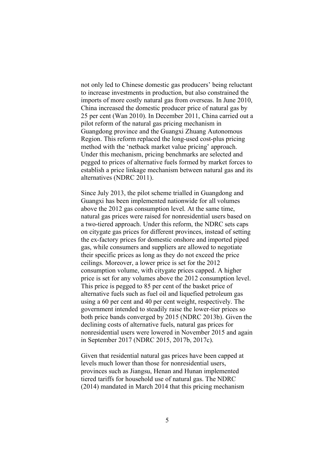not only led to Chinese domestic gas producers' being reluctant to increase investments in production, but also constrained the imports of more costly natural gas from overseas. In June 2010, China increased the domestic producer price of natural gas by 25 per cent (Wan 2010). In December 2011, China carried out a pilot reform of the natural gas pricing mechanism in Guangdong province and the Guangxi Zhuang Autonomous Region. This reform replaced the long-used cost-plus pricing method with the 'netback market value pricing' approach. Under this mechanism, pricing benchmarks are selected and pegged to prices of alternative fuels formed by market forces to establish a price linkage mechanism between natural gas and its alternatives (NDRC 2011).

Since July 2013, the pilot scheme trialled in Guangdong and Guangxi has been implemented nationwide for all volumes above the 2012 gas consumption level. At the same time, natural gas prices were raised for nonresidential users based on a two-tiered approach. Under this reform, the NDRC sets caps on citygate gas prices for different provinces, instead of setting the ex-factory prices for domestic onshore and imported piped gas, while consumers and suppliers are allowed to negotiate their specific prices as long as they do not exceed the price ceilings. Moreover, a lower price is set for the 2012 consumption volume, with citygate prices capped. A higher price is set for any volumes above the 2012 consumption level. This price is pegged to 85 per cent of the basket price of alternative fuels such as fuel oil and liquefied petroleum gas using a 60 per cent and 40 per cent weight, respectively. The government intended to steadily raise the lower-tier prices so both price bands converged by 2015 (NDRC 2013b). Given the declining costs of alternative fuels, natural gas prices for nonresidential users were lowered in November 2015 and again in September 2017 (NDRC 2015, 2017b, 2017c).

Given that residential natural gas prices have been capped at levels much lower than those for nonresidential users, provinces such as Jiangsu, Henan and Hunan implemented tiered tariffs for household use of natural gas. The NDRC (2014) mandated in March 2014 that this pricing mechanism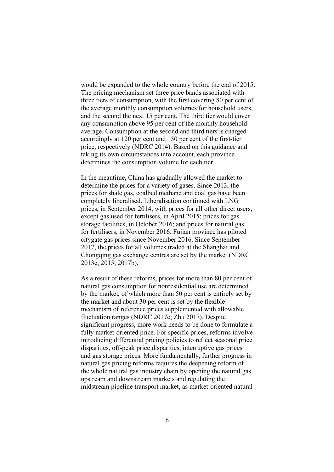would be expanded to the whole country before the end of 2015. The pricing mechanism set three price bands associated with three tiers of consumption, with the first covering 80 per cent of the average monthly consumption volumes for household users, and the second the next 15 per cent. The third tier would cover any consumption above 95 per cent of the monthly household average. Consumption at the second and third tiers is charged accordingly at 120 per cent and 150 per cent of the first-tier price, respectively (NDRC 2014). Based on this guidance and taking its own circumstances into account, each province determines the consumption volume for each tier.

In the meantime, China has gradually allowed the market to determine the prices for a variety of gases. Since 2013, the prices for shale gas, coalbed methane and coal gas have been completely liberalised. Liberalisation continued with LNG prices, in September 2014; with prices for all other direct users, except gas used for fertilisers, in April 2015; prices for gas storage facilities, in October 2016; and prices for natural gas for fertilisers, in November 2016. Fujian province has piloted citygate gas prices since November 2016. Since September 2017, the prices for all volumes traded at the Shanghai and Chongqing gas exchange centres are set by the market (NDRC 2013c, 2015, 2017b).

As a result of these reforms, prices for more than 80 per cent of natural gas consumption for nonresidential use are determined by the market, of which more than 50 per cent is entirely set by the market and about 30 per cent is set by the flexible mechanism of reference prices supplemented with allowable fluctuation ranges (NDRC 2017c; Zhu 2017). Despite significant progress, more work needs to be done to formulate a fully market-oriented price. For specific prices, reforms involve introducing differential pricing policies to reflect seasonal price disparities, off-peak price disparities, interruptive gas prices and gas storage prices. More fundamentally, further progress in natural gas pricing reforms requires the deepening reform of the whole natural gas industry chain by opening the natural gas upstream and downstream markets and regulating the midstream pipeline transport market, as market-oriented natural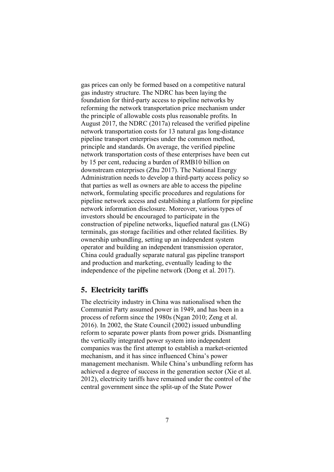gas prices can only be formed based on a competitive natural gas industry structure. The NDRC has been laying the foundation for third-party access to pipeline networks by reforming the network transportation price mechanism under the principle of allowable costs plus reasonable profits. In August 2017, the NDRC (2017a) released the verified pipeline network transportation costs for 13 natural gas long-distance pipeline transport enterprises under the common method, principle and standards. On average, the verified pipeline network transportation costs of these enterprises have been cut by 15 per cent, reducing a burden of RMB10 billion on downstream enterprises (Zhu 2017). The National Energy Administration needs to develop a third-party access policy so that parties as well as owners are able to access the pipeline network, formulating specific procedures and regulations for pipeline network access and establishing a platform for pipeline network information disclosure. Moreover, various types of investors should be encouraged to participate in the construction of pipeline networks, liquefied natural gas (LNG) terminals, gas storage facilities and other related facilities. By ownership unbundling, setting up an independent system operator and building an independent transmission operator, China could gradually separate natural gas pipeline transport and production and marketing, eventually leading to the independence of the pipeline network (Dong et al. 2017).

#### **5. Electricity tariffs**

The electricity industry in China was nationalised when the Communist Party assumed power in 1949, and has been in a process of reform since the 1980s (Ngan 2010; Zeng et al. 2016). In 2002, the State Council (2002) issued unbundling reform to separate power plants from power grids. Dismantling the vertically integrated power system into independent companies was the first attempt to establish a market-oriented mechanism, and it has since influenced China's power management mechanism. While China's unbundling reform has achieved a degree of success in the generation sector (Xie et al. 2012), electricity tariffs have remained under the control of the central government since the split-up of the State Power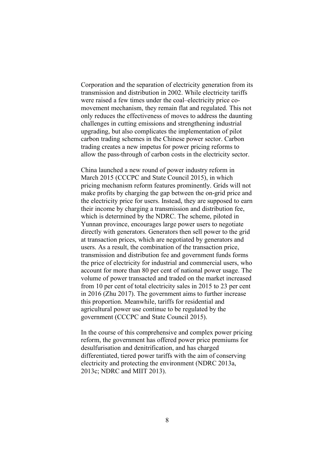Corporation and the separation of electricity generation from its transmission and distribution in 2002. While electricity tariffs were raised a few times under the coal–electricity price comovement mechanism, they remain flat and regulated. This not only reduces the effectiveness of moves to address the daunting challenges in cutting emissions and strengthening industrial upgrading, but also complicates the implementation of pilot carbon trading schemes in the Chinese power sector. Carbon trading creates a new impetus for power pricing reforms to allow the pass-through of carbon costs in the electricity sector.

China launched a new round of power industry reform in March 2015 (CCCPC and State Council 2015), in which pricing mechanism reform features prominently. Grids will not make profits by charging the gap between the on-grid price and the electricity price for users. Instead, they are supposed to earn their income by charging a transmission and distribution fee, which is determined by the NDRC. The scheme, piloted in Yunnan province, encourages large power users to negotiate directly with generators. Generators then sell power to the grid at transaction prices, which are negotiated by generators and users. As a result, the combination of the transaction price, transmission and distribution fee and government funds forms the price of electricity for industrial and commercial users, who account for more than 80 per cent of national power usage. The volume of power transacted and traded on the market increased from 10 per cent of total electricity sales in 2015 to 23 per cent in 2016 (Zhu 2017). The government aims to further increase this proportion. Meanwhile, tariffs for residential and agricultural power use continue to be regulated by the government (CCCPC and State Council 2015).

In the course of this comprehensive and complex power pricing reform, the government has offered power price premiums for desulfurisation and denitrification, and has charged differentiated, tiered power tariffs with the aim of conserving electricity and protecting the environment (NDRC 2013a, 2013c; NDRC and MIIT 2013).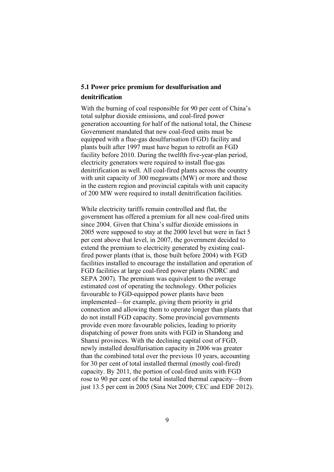## **5.1 Power price premium for desulfurisation and denitrification**

With the burning of coal responsible for 90 per cent of China's total sulphur dioxide emissions, and coal-fired power generation accounting for half of the national total, the Chinese Government mandated that new coal-fired units must be equipped with a flue-gas desulfurisation (FGD) facility and plants built after 1997 must have begun to retrofit an FGD facility before 2010. During the twelfth five-year-plan period, electricity generators were required to install flue-gas denitrification as well. All coal-fired plants across the country with unit capacity of 300 megawatts (MW) or more and those in the eastern region and provincial capitals with unit capacity of 200 MW were required to install denitrification facilities.

While electricity tariffs remain controlled and flat, the government has offered a premium for all new coal-fired units since 2004. Given that China's sulfur dioxide emissions in 2005 were supposed to stay at the 2000 level but were in fact 5 per cent above that level, in 2007, the government decided to extend the premium to electricity generated by existing coalfired power plants (that is, those built before 2004) with FGD facilities installed to encourage the installation and operation of FGD facilities at large coal-fired power plants (NDRC and SEPA 2007). The premium was equivalent to the average estimated cost of operating the technology. Other policies favourable to FGD-equipped power plants have been implemented—for example, giving them priority in grid connection and allowing them to operate longer than plants that do not install FGD capacity. Some provincial governments provide even more favourable policies, leading to priority dispatching of power from units with FGD in Shandong and Shanxi provinces. With the declining capital cost of FGD, newly installed desulfurisation capacity in 2006 was greater than the combined total over the previous 10 years, accounting for 30 per cent of total installed thermal (mostly coal-fired) capacity. By 2011, the portion of coal-fired units with FGD rose to 90 per cent of the total installed thermal capacity—from just 13.5 per cent in 2005 (Sina Net 2009; CEC and EDF 2012).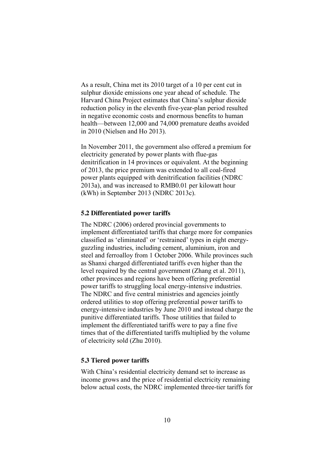As a result, China met its 2010 target of a 10 per cent cut in sulphur dioxide emissions one year ahead of schedule. The Harvard China Project estimates that China's sulphur dioxide reduction policy in the eleventh five-year-plan period resulted in negative economic costs and enormous benefits to human health—between 12,000 and 74,000 premature deaths avoided in 2010 (Nielsen and Ho 2013).

In November 2011, the government also offered a premium for electricity generated by power plants with flue-gas denitrification in 14 provinces or equivalent. At the beginning of 2013, the price premium was extended to all coal-fired power plants equipped with denitrification facilities (NDRC 2013a), and was increased to RMB0.01 per kilowatt hour (kWh) in September 2013 (NDRC 2013c).

#### **5.2 Differentiated power tariffs**

The NDRC (2006) ordered provincial governments to implement differentiated tariffs that charge more for companies classified as 'eliminated' or 'restrained' types in eight energyguzzling industries, including cement, aluminium, iron and steel and ferroalloy from 1 October 2006. While provinces such as Shanxi charged differentiated tariffs even higher than the level required by the central government (Zhang et al. 2011), other provinces and regions have been offering preferential power tariffs to struggling local energy-intensive industries. The NDRC and five central ministries and agencies jointly ordered utilities to stop offering preferential power tariffs to energy-intensive industries by June 2010 and instead charge the punitive differentiated tariffs. Those utilities that failed to implement the differentiated tariffs were to pay a fine five times that of the differentiated tariffs multiplied by the volume of electricity sold (Zhu 2010).

#### **5.3 Tiered power tariffs**

With China's residential electricity demand set to increase as income grows and the price of residential electricity remaining below actual costs, the NDRC implemented three-tier tariffs for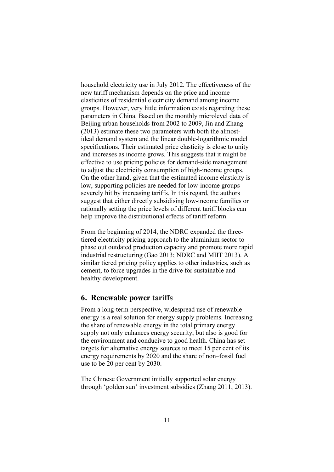household electricity use in July 2012. The effectiveness of the new tariff mechanism depends on the price and income elasticities of residential electricity demand among income groups. However, very little information exists regarding these parameters in China. Based on the monthly microlevel data of Beijing urban households from 2002 to 2009, Jin and Zhang (2013) estimate these two parameters with both the almostideal demand system and the linear double-logarithmic model specifications. Their estimated price elasticity is close to unity and increases as income grows. This suggests that it might be effective to use pricing policies for demand-side management to adjust the electricity consumption of high-income groups. On the other hand, given that the estimated income elasticity is low, supporting policies are needed for low-income groups severely hit by increasing tariffs. In this regard, the authors suggest that either directly subsidising low-income families or rationally setting the price levels of different tariff blocks can help improve the distributional effects of tariff reform.

From the beginning of 2014, the NDRC expanded the threetiered electricity pricing approach to the aluminium sector to phase out outdated production capacity and promote more rapid industrial restructuring (Gao 2013; NDRC and MIIT 2013). A similar tiered pricing policy applies to other industries, such as cement, to force upgrades in the drive for sustainable and healthy development.

#### **6. Renewable power tariffs**

From a long-term perspective, widespread use of renewable energy is a real solution for energy supply problems. Increasing the share of renewable energy in the total primary energy supply not only enhances energy security, but also is good for the environment and conducive to good health. China has set targets for alternative energy sources to meet 15 per cent of its energy requirements by 2020 and the share of non–fossil fuel use to be 20 per cent by 2030.

The Chinese Government initially supported solar energy through 'golden sun' investment subsidies (Zhang 2011, 2013).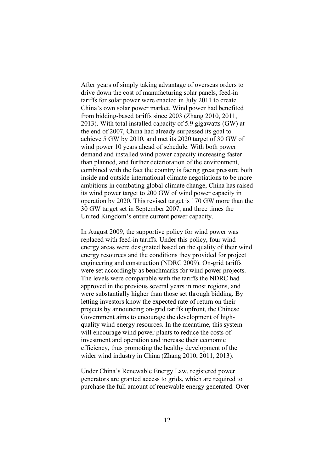After years of simply taking advantage of overseas orders to drive down the cost of manufacturing solar panels, feed-in tariffs for solar power were enacted in July 2011 to create China's own solar power market. Wind power had benefited from bidding-based tariffs since 2003 (Zhang 2010, 2011, 2013). With total installed capacity of 5.9 gigawatts (GW) at the end of 2007, China had already surpassed its goal to achieve 5 GW by 2010, and met its 2020 target of 30 GW of wind power 10 years ahead of schedule. With both power demand and installed wind power capacity increasing faster than planned, and further deterioration of the environment, combined with the fact the country is facing great pressure both inside and outside international climate negotiations to be more ambitious in combating global climate change, China has raised its wind power target to 200 GW of wind power capacity in operation by 2020. This revised target is 170 GW more than the 30 GW target set in September 2007, and three times the United Kingdom's entire current power capacity.

In August 2009, the supportive policy for wind power was replaced with feed-in tariffs. Under this policy, four wind energy areas were designated based on the quality of their wind energy resources and the conditions they provided for project engineering and construction (NDRC 2009). On-grid tariffs were set accordingly as benchmarks for wind power projects. The levels were comparable with the tariffs the NDRC had approved in the previous several years in most regions, and were substantially higher than those set through bidding. By letting investors know the expected rate of return on their projects by announcing on-grid tariffs upfront, the Chinese Government aims to encourage the development of highquality wind energy resources. In the meantime, this system will encourage wind power plants to reduce the costs of investment and operation and increase their economic efficiency, thus promoting the healthy development of the wider wind industry in China (Zhang 2010, 2011, 2013).

Under China's Renewable Energy Law, registered power generators are granted access to grids, which are required to purchase the full amount of renewable energy generated. Over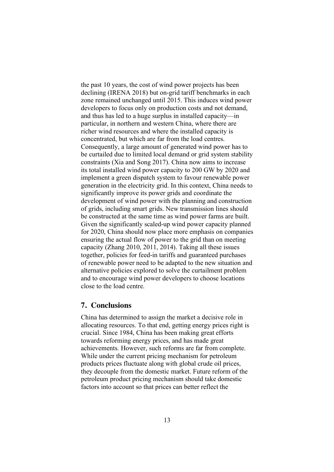the past 10 years, the cost of wind power projects has been declining (IRENA 2018) but on-grid tariff benchmarks in each zone remained unchanged until 2015. This induces wind power developers to focus only on production costs and not demand, and thus has led to a huge surplus in installed capacity—in particular, in northern and western China, where there are richer wind resources and where the installed capacity is concentrated, but which are far from the load centres. Consequently, a large amount of generated wind power has to be curtailed due to limited local demand or grid system stability constraints (Xia and Song 2017). China now aims to increase its total installed wind power capacity to 200 GW by 2020 and implement a green dispatch system to favour renewable power generation in the electricity grid. In this context, China needs to significantly improve its power grids and coordinate the development of wind power with the planning and construction of grids, including smart grids. New transmission lines should be constructed at the same time as wind power farms are built. Given the significantly scaled-up wind power capacity planned for 2020, China should now place more emphasis on companies ensuring the actual flow of power to the grid than on meeting capacity (Zhang 2010, 2011, 2014). Taking all these issues together, policies for feed-in tariffs and guaranteed purchases of renewable power need to be adapted to the new situation and alternative policies explored to solve the curtailment problem and to encourage wind power developers to choose locations close to the load centre.

#### **7. Conclusions**

China has determined to assign the market a decisive role in allocating resources. To that end, getting energy prices right is crucial. Since 1984, China has been making great efforts towards reforming energy prices, and has made great achievements. However, such reforms are far from complete. While under the current pricing mechanism for petroleum products prices fluctuate along with global crude oil prices, they decouple from the domestic market. Future reform of the petroleum product pricing mechanism should take domestic factors into account so that prices can better reflect the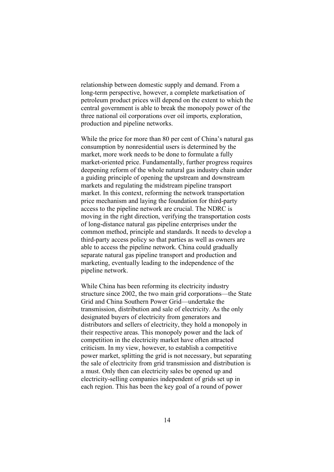relationship between domestic supply and demand. From a long-term perspective, however, a complete marketisation of petroleum product prices will depend on the extent to which the central government is able to break the monopoly power of the three national oil corporations over oil imports, exploration, production and pipeline networks.

While the price for more than 80 per cent of China's natural gas consumption by nonresidential users is determined by the market, more work needs to be done to formulate a fully market-oriented price. Fundamentally, further progress requires deepening reform of the whole natural gas industry chain under a guiding principle of opening the upstream and downstream markets and regulating the midstream pipeline transport market. In this context, reforming the network transportation price mechanism and laying the foundation for third-party access to the pipeline network are crucial. The NDRC is moving in the right direction, verifying the transportation costs of long-distance natural gas pipeline enterprises under the common method, principle and standards. It needs to develop a third-party access policy so that parties as well as owners are able to access the pipeline network. China could gradually separate natural gas pipeline transport and production and marketing, eventually leading to the independence of the pipeline network.

While China has been reforming its electricity industry structure since 2002, the two main grid corporations—the State Grid and China Southern Power Grid—undertake the transmission, distribution and sale of electricity. As the only designated buyers of electricity from generators and distributors and sellers of electricity, they hold a monopoly in their respective areas. This monopoly power and the lack of competition in the electricity market have often attracted criticism. In my view, however, to establish a competitive power market, splitting the grid is not necessary, but separating the sale of electricity from grid transmission and distribution is a must. Only then can electricity sales be opened up and electricity-selling companies independent of grids set up in each region. This has been the key goal of a round of power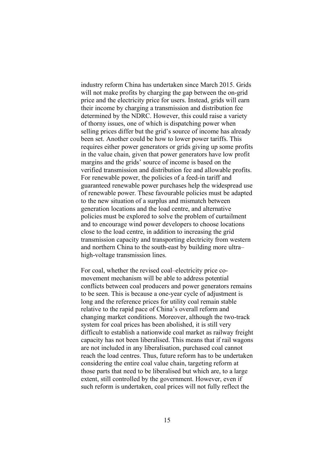industry reform China has undertaken since March 2015. Grids will not make profits by charging the gap between the on-grid price and the electricity price for users. Instead, grids will earn their income by charging a transmission and distribution fee determined by the NDRC. However, this could raise a variety of thorny issues, one of which is dispatching power when selling prices differ but the grid's source of income has already been set. Another could be how to lower power tariffs. This requires either power generators or grids giving up some profits in the value chain, given that power generators have low profit margins and the grids' source of income is based on the verified transmission and distribution fee and allowable profits. For renewable power, the policies of a feed-in tariff and guaranteed renewable power purchases help the widespread use of renewable power. These favourable policies must be adapted to the new situation of a surplus and mismatch between generation locations and the load centre, and alternative policies must be explored to solve the problem of curtailment and to encourage wind power developers to choose locations close to the load centre, in addition to increasing the grid transmission capacity and transporting electricity from western and northern China to the south-east by building more ultra– high-voltage transmission lines.

For coal, whether the revised coal–electricity price comovement mechanism will be able to address potential conflicts between coal producers and power generators remains to be seen. This is because a one-year cycle of adjustment is long and the reference prices for utility coal remain stable relative to the rapid pace of China's overall reform and changing market conditions. Moreover, although the two-track system for coal prices has been abolished, it is still very difficult to establish a nationwide coal market as railway freight capacity has not been liberalised. This means that if rail wagons are not included in any liberalisation, purchased coal cannot reach the load centres. Thus, future reform has to be undertaken considering the entire coal value chain, targeting reform at those parts that need to be liberalised but which are, to a large extent, still controlled by the government. However, even if such reform is undertaken, coal prices will not fully reflect the

15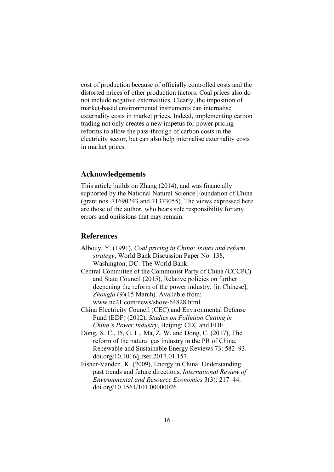cost of production because of officially controlled costs and the distorted prices of other production factors. Coal prices also do not include negative externalities. Clearly, the imposition of market-based environmental instruments can internalise externality costs in market prices. Indeed, implementing carbon trading not only creates a new impetus for power pricing reforms to allow the pass-through of carbon costs in the electricity sector, but can also help internalise externality costs in market prices.

#### **Acknowledgements**

This article builds on Zhang (2014), and was financially supported by the National Natural Science Foundation of China (grant nos. 71690243 and 71373055). The views expressed here are those of the author, who bears sole responsibility for any errors and omissions that may remain.

#### **References**

- Albouy, Y. (1991), *Coal pricing in China: Issues and reform strategy*, World Bank Discussion Paper No. 138, Washington, DC: The World Bank.
- Central Committee of the Communist Party of China (CCCPC) and State Council (2015), Relative policies on further deepening the reform of the power industry, [in Chinese], *Zhongfa* (9)(15 March). Available from: www.ne21.com/news/show-64828.html.
- China Electricity Council (CEC) and Environmental Defense Fund (EDF) (2012), *Studies on Pollution Cutting in China's Power Industry*, Beijing: CEC and EDF.
- Dong, X. C., Pi, G. L., Ma, Z. W. and Dong, C. (2017), The reform of the natural gas industry in the PR of China, Renewable and Sustainable Energy Reviews 73: 582–93. doi.org/10.1016/j.rser.2017.01.157.
- Fisher-Vanden, K. (2009), Energy in China: Understanding past trends and future directions, *International Review of Environmental and Resource Economics* 3(3): 217–44. doi.org/10.1561/101.00000026.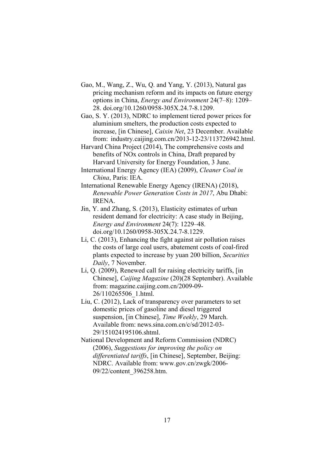- Gao, M., Wang, Z., Wu, Q. and Yang, Y. (2013), Natural gas pricing mechanism reform and its impacts on future energy options in China, *Energy and Environment* 24(7–8): 1209– 28. doi.org/10.1260/0958-305X.24.7-8.1209.
- Gao, S. Y. (2013), NDRC to implement tiered power prices for aluminium smelters, the production costs expected to increase, [in Chinese], *Caixin Net*, 23 December. Available from: industry.caijing.com.cn/2013-12-23/113726942.html.

Harvard China Project (2014), The comprehensive costs and benefits of NOx controls in China, Draft prepared by Harvard University for Energy Foundation, 3 June.

- International Energy Agency (IEA) (2009), *Cleaner Coal in China*, Paris: IEA.
- International Renewable Energy Agency (IRENA) (2018), *Renewable Power Generation Costs in 2017*, Abu Dhabi: IRENA.
- Jin, Y. and Zhang, S. (2013), Elasticity estimates of urban resident demand for electricity: A case study in Beijing, *Energy and Environment* 24(7): 1229–48. doi.org/10.1260/0958-305X.24.7-8.1229.
- Li, C. (2013), Enhancing the fight against air pollution raises the costs of large coal users, abatement costs of coal-fired plants expected to increase by yuan 200 billion, *Securities Daily*, 7 November.
- Li, Q. (2009), Renewed call for raising electricity tariffs, [in Chinese], *Caijing Magazine* (20)(28 September). Available from: magazine.caijing.com.cn/2009-09- 26/110265506\_1.html.
- Liu, C. (2012), Lack of transparency over parameters to set domestic prices of gasoline and diesel triggered suspension, [in Chinese], *Time Weekly*, 29 March. Available from: news.sina.com.cn/c/sd/2012-03- 29/151024195106.shtml.

National Development and Reform Commission (NDRC) (2006), *Suggestions for improving the policy on differentiated tariffs*, [in Chinese], September, Beijing: NDRC. Available from: www.gov.cn/zwgk/2006- 09/22/content\_396258.htm.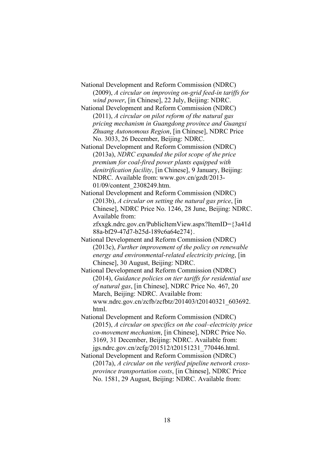National Development and Reform Commission (NDRC) (2009), *A circular on improving on-grid feed-in tariffs for wind power*, [in Chinese], 22 July, Beijing: NDRC.

National Development and Reform Commission (NDRC) (2011), *A circular on pilot reform of the natural gas pricing mechanism in Guangdong province and Guangxi Zhuang Autonomous Region*, [in Chinese], NDRC Price No. 3033, 26 December, Beijing: NDRC.

National Development and Reform Commission (NDRC) (2013a), *NDRC expanded the pilot scope of the price premium for coal-fired power plants equipped with denitrification facility*, [in Chinese], 9 January, Beijing: NDRC. Available from: www.gov.cn/gzdt/2013- 01/09/content\_2308249.htm.

National Development and Reform Commission (NDRC) (2013b), *A circular on setting the natural gas price*, [in Chinese], NDRC Price No. 1246, 28 June, Beijing: NDRC. Available from:

zfxxgk.ndrc.gov.cn/PublicItemView.aspx?ItemID={3a41d 88a-bf29-47d7-b25d-189c6a64e274}.

National Development and Reform Commission (NDRC) (2013c), *Further improvement of the policy on renewable energy and environmental-related electricity pricing*, [in Chinese], 30 August, Beijing: NDRC.

National Development and Reform Commission (NDRC) (2014), *Guidance policies on tier tariffs for residential use of natural gas*, [in Chinese], NDRC Price No. 467, 20 March, Beijing: NDRC. Available from: www.ndrc.gov.cn/zcfb/zcfbtz/201403/t20140321\_603692. html.

National Development and Reform Commission (NDRC) (2015), *A circular on specifics on the coal–electricity price co-movement mechanism*, [in Chinese], NDRC Price No. 3169, 31 December, Beijing: NDRC. Available from: jgs.ndrc.gov.cn/zcfg/201512/t20151231\_770446.html.

National Development and Reform Commission (NDRC) (2017a), *A circular on the verified pipeline network crossprovince transportation costs*, [in Chinese], NDRC Price No. 1581, 29 August, Beijing: NDRC. Available from: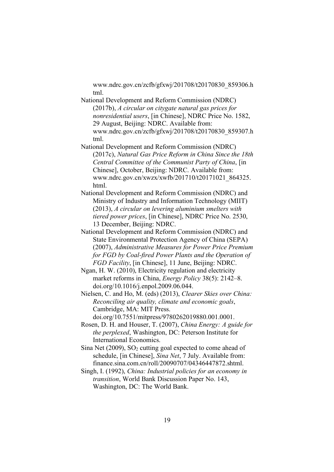www.ndrc.gov.cn/zcfb/gfxwj/201708/t20170830\_859306.h tml.

National Development and Reform Commission (NDRC) (2017b), *A circular on citygate natural gas prices for nonresidential users*, [in Chinese], NDRC Price No. 1582, 29 August, Beijing: NDRC. Available from: www.ndrc.gov.cn/zcfb/gfxwj/201708/t20170830\_859307.h tml.

National Development and Reform Commission (NDRC) (2017c), *Natural Gas Price Reform in China Since the 18th Central Committee of the Communist Party of China*, [in Chinese], October, Beijing: NDRC. Available from: www.ndrc.gov.cn/xwzx/xwfb/201710/t20171021\_864325. html.

National Development and Reform Commission (NDRC) and Ministry of Industry and Information Technology (MIIT) (2013), *A circular on levering aluminium smelters with tiered power prices*, [in Chinese], NDRC Price No. 2530, 13 December, Beijing: NDRC.

National Development and Reform Commission (NDRC) and State Environmental Protection Agency of China (SEPA) (2007), *Administrative Measures for Power Price Premium for FGD by Coal-fired Power Plants and the Operation of FGD Facility*, [in Chinese], 11 June, Beijing: NDRC.

Ngan, H. W. (2010), Electricity regulation and electricity market reforms in China, *Energy Policy* 38(5): 2142–8. doi.org/10.1016/j.enpol.2009.06.044.

Nielsen, C. and Ho, M. (eds) (2013), *Clearer Skies over China: Reconciling air quality, climate and economic goals*, Cambridge, MA: MIT Press. doi.org/10.7551/mitpress/9780262019880.001.0001.

Rosen, D. H. and Houser, T. (2007), *China Energy: A guide for the perplexed*, Washington, DC: Peterson Institute for International Economics.

Sina Net  $(2009)$ , SO<sub>2</sub> cutting goal expected to come ahead of schedule, [in Chinese], *Sina Net*, 7 July. Available from: finance.sina.com.cn/roll/20090707/04346447872.shtml.

Singh, I. (1992), *China: Industrial policies for an economy in transition*, World Bank Discussion Paper No. 143, Washington, DC: The World Bank.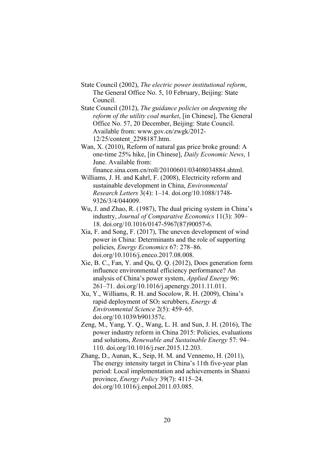- State Council (2002), *The electric power institutional reform*, The General Office No. 5, 10 February, Beijing: State Council.
- State Council (2012), *The guidance policies on deepening the reform of the utility coal market*, [in Chinese], The General Office No. 57, 20 December, Beijing: State Council. Available from: www.gov.cn/zwgk/2012- 12/25/content\_2298187.htm.
- Wan, X. (2010), Reform of natural gas price broke ground: A one-time 25% hike, [in Chinese], *Daily Economic News*, 1 June. Available from: finance.sina.com.cn/roll/20100601/03408034884.shtml.
- Williams, J. H. and Kahrl, F. (2008), Electricity reform and sustainable development in China, *Environmental Research Letters* 3(4): 1–14. doi.org/10.1088/1748- 9326/3/4/044009.
- Wu, J. and Zhao, R. (1987), The dual pricing system in China's industry, *Journal of Comparative Economics* 11(3): 309– 18. doi.org/10.1016/0147-5967(87)90057-6.
- Xia, F. and Song, F. (2017), The uneven development of wind power in China: Determinants and the role of supporting policies, *Energy Economics* 67: 278–86. doi.org/10.1016/j.eneco.2017.08.008.
- Xie, B. C., Fan, Y. and Qu, Q. Q. (2012), Does generation form influence environmental efficiency performance? An analysis of China's power system, *Applied Energy* 96: 261–71. doi.org/10.1016/j.apenergy.2011.11.011.
- Xu, Y., Williams, R. H. and Socolow, R. H. (2009), China's rapid deployment of SO2 scrubbers, *Energy & Environmental Science* 2(5): 459–65. doi.org/10.1039/b901357c.
- Zeng, M., Yang, Y. Q., Wang, L. H. and Sun, J. H. (2016), The power industry reform in China 2015: Policies, evaluations and solutions, *Renewable and Sustainable Energy* 57: 94– 110. doi.org/10.1016/j.rser.2015.12.203.
- Zhang, D., Aunan, K., Seip, H. M. and Vennemo, H. (2011), The energy intensity target in China's 11th five-year plan period: Local implementation and achievements in Shanxi province, *Energy Policy* 39(7): 4115–24. doi.org/10.1016/j.enpol.2011.03.085.